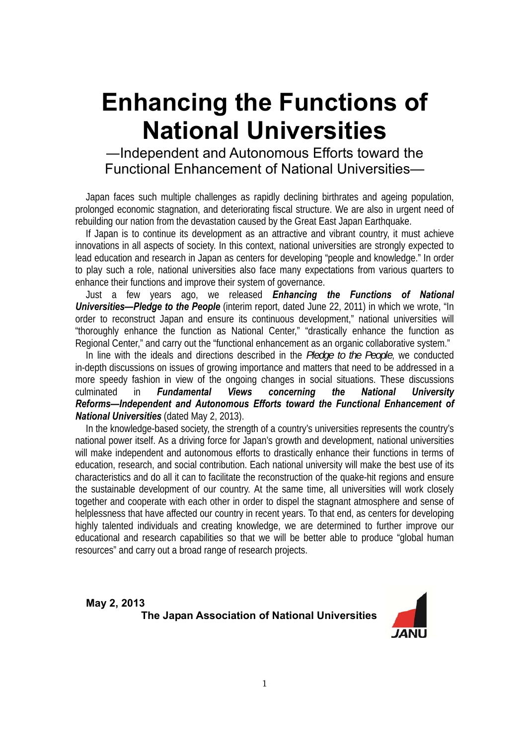# **Enhancing the Functions of National Universities**

### ―Independent and Autonomous Efforts toward the Functional Enhancement of National Universities—

Japan faces such multiple challenges as rapidly declining birthrates and ageing population, prolonged economic stagnation, and deteriorating fiscal structure. We are also in urgent need of rebuilding our nation from the devastation caused by the Great East Japan Earthquake.

If Japan is to continue its development as an attractive and vibrant country, it must achieve innovations in all aspects of society. In this context, national universities are strongly expected to lead education and research in Japan as centers for developing "people and knowledge." In order to play such a role, national universities also face many expectations from various quarters to enhance their functions and improve their system of governance.

Just a few years ago, we released *Enhancing the Functions of National*  **Universities—Pledge to the People** (interim report, dated June 22, 2011) in which we wrote, "In order to reconstruct Japan and ensure its continuous development," national universities will "thoroughly enhance the function as National Center," "drastically enhance the function as Regional Center," and carry out the "functional enhancement as an organic collaborative system."

In line with the ideals and directions described in the *Pledge to the People*, we conducted in-depth discussions on issues of growing importance and matters that need to be addressed in a more speedy fashion in view of the ongoing changes in social situations. These discussions culminated in *Fundamental Views concerning the National University Reforms—Independent and Autonomous Efforts toward the Functional Enhancement of National Universities* (dated May 2, 2013).

In the knowledge-based society, the strength of a country's universities represents the country's national power itself. As a driving force for Japan's growth and development, national universities will make independent and autonomous efforts to drastically enhance their functions in terms of education, research, and social contribution. Each national university will make the best use of its characteristics and do all it can to facilitate the reconstruction of the quake-hit regions and ensure the sustainable development of our country. At the same time, all universities will work closely together and cooperate with each other in order to dispel the stagnant atmosphere and sense of helplessness that have affected our country in recent years. To that end, as centers for developing highly talented individuals and creating knowledge, we are determined to further improve our educational and research capabilities so that we will be better able to produce "global human resources" and carry out a broad range of research projects.

**May 2, 2013 The Japan Association of National Universities** 

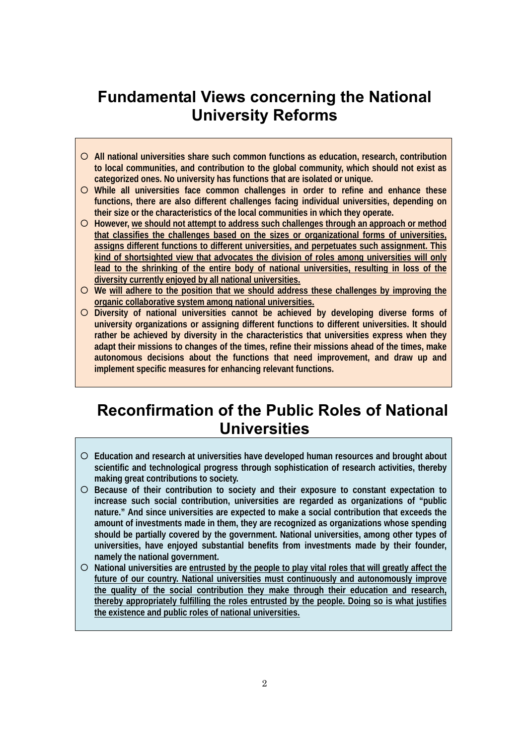## **Fundamental Views concerning the National University Reforms**

- { **All national universities share such common functions as education, research, contribution to local communities, and contribution to the global community, which should not exist as categorized ones. No university has functions that are isolated or unique.**
- { **While all universities face common challenges in order to refine and enhance these functions, there are also different challenges facing individual universities, depending on their size or the characteristics of the local communities in which they operate.**
- { **However, we should not attempt to address such challenges through an approach or method that classifies the challenges based on the sizes or organizational forms of universities, assigns different functions to different universities, and perpetuates such assignment. This kind of shortsighted view that advocates the division of roles among universities will only lead to the shrinking of the entire body of national universities, resulting in loss of the diversity currently enjoyed by all national universities.**
- { **We will adhere to the position that we should address these challenges by improving the organic collaborative system among national universities.**
- { **Diversity of national universities cannot be achieved by developing diverse forms of university organizations or assigning different functions to different universities. It should rather be achieved by diversity in the characteristics that universities express when they adapt their missions to changes of the times, refine their missions ahead of the times, make autonomous decisions about the functions that need improvement, and draw up and implement specific measures for enhancing relevant functions.**

## **Reconfirmation of the Public Roles of National Universities**

- { **Education and research at universities have developed human resources and brought about scientific and technological progress through sophistication of research activities, thereby making great contributions to society.**
- { **Because of their contribution to society and their exposure to constant expectation to increase such social contribution, universities are regarded as organizations of "public nature." And since universities are expected to make a social contribution that exceeds the amount of investments made in them, they are recognized as organizations whose spending should be partially covered by the government. National universities, among other types of universities, have enjoyed substantial benefits from investments made by their founder, namely the national government.**
- { **National universities are entrusted by the people to play vital roles that will greatly affect the future of our country. National universities must continuously and autonomously improve the quality of the social contribution they make through their education and research, thereby appropriately fulfilling the roles entrusted by the people. Doing so is what justifies the existence and public roles of national universities.**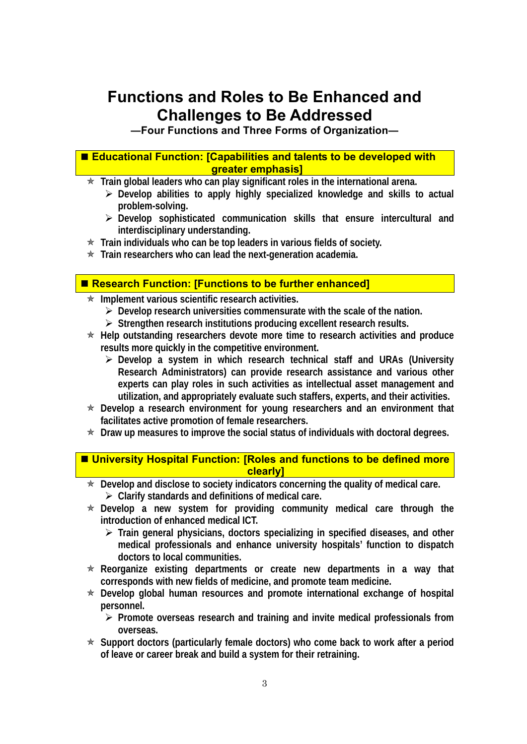## **Functions and Roles to Be Enhanced and Challenges to Be Addressed**

**―Four Functions and Three Forms of Organization―**

#### ■ Educational Function: [Capabilities and talents to be developed with **greater emphasis]**

**★ Train global leaders who can play significant roles in the international arena.** 

- ¾ **Develop abilities to apply highly specialized knowledge and skills to actual problem-solving.**
- ¾ **Develop sophisticated communication skills that ensure intercultural and interdisciplinary understanding.**
- **★ Train individuals who can be top leaders in various fields of society.**
- $\star$  Train researchers who can lead the next-generation academia.

#### ■ Research Function: [Functions to be further enhanced]

- **★ Implement various scientific research activities.** 
	- ¾ **Develop research universities commensurate with the scale of the nation.**
	- ¾ **Strengthen research institutions producing excellent research results.**
- ★ Help outstanding researchers devote more time to research activities and produce **results more quickly in the competitive environment.** 
	- ¾ **Develop a system in which research technical staff and URAs (University Research Administrators) can provide research assistance and various other experts can play roles in such activities as intellectual asset management and utilization, and appropriately evaluate such staffers, experts, and their activities.**
- ★ Develop a research environment for young researchers and an environment that **facilitates active promotion of female researchers.**
- **★ Draw up measures to improve the social status of individuals with doctoral degrees.**

#### ■ University Hospital Function: [Roles and functions to be defined more **clearly]**

- ★ Develop and disclose to society indicators concerning the quality of medical care. ¾ **Clarify standards and definitions of medical care.**
- Õ **Develop a new system for providing community medical care through the introduction of enhanced medical ICT.** 
	- ¾ **Train general physicians, doctors specializing in specified diseases, and other medical professionals and enhance university hospitals' function to dispatch doctors to local communities.**
- \* Reorganize existing departments or create new departments in a way that **corresponds with new fields of medicine, and promote team medicine.**
- \* Develop global human resources and promote international exchange of hospital **personnel.** 
	- ¾ **Promote overseas research and training and invite medical professionals from overseas.**
- ★ Support doctors (particularly female doctors) who come back to work after a period **of leave or career break and build a system for their retraining.**